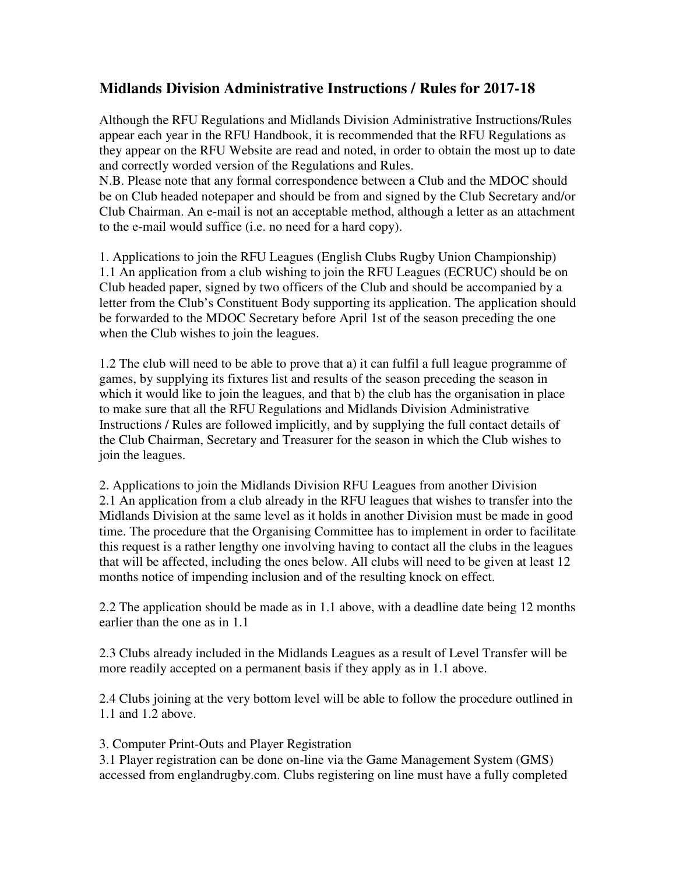# **Midlands Division Administrative Instructions / Rules for 2017-18**

Although the RFU Regulations and Midlands Division Administrative Instructions/Rules appear each year in the RFU Handbook, it is recommended that the RFU Regulations as they appear on the RFU Website are read and noted, in order to obtain the most up to date and correctly worded version of the Regulations and Rules.

N.B. Please note that any formal correspondence between a Club and the MDOC should be on Club headed notepaper and should be from and signed by the Club Secretary and/or Club Chairman. An e-mail is not an acceptable method, although a letter as an attachment to the e-mail would suffice (i.e. no need for a hard copy).

1. Applications to join the RFU Leagues (English Clubs Rugby Union Championship) 1.1 An application from a club wishing to join the RFU Leagues (ECRUC) should be on Club headed paper, signed by two officers of the Club and should be accompanied by a letter from the Club's Constituent Body supporting its application. The application should be forwarded to the MDOC Secretary before April 1st of the season preceding the one when the Club wishes to join the leagues.

1.2 The club will need to be able to prove that a) it can fulfil a full league programme of games, by supplying its fixtures list and results of the season preceding the season in which it would like to join the leagues, and that b) the club has the organisation in place to make sure that all the RFU Regulations and Midlands Division Administrative Instructions / Rules are followed implicitly, and by supplying the full contact details of the Club Chairman, Secretary and Treasurer for the season in which the Club wishes to join the leagues.

2. Applications to join the Midlands Division RFU Leagues from another Division 2.1 An application from a club already in the RFU leagues that wishes to transfer into the Midlands Division at the same level as it holds in another Division must be made in good time. The procedure that the Organising Committee has to implement in order to facilitate this request is a rather lengthy one involving having to contact all the clubs in the leagues that will be affected, including the ones below. All clubs will need to be given at least 12 months notice of impending inclusion and of the resulting knock on effect.

2.2 The application should be made as in 1.1 above, with a deadline date being 12 months earlier than the one as in 1.1

2.3 Clubs already included in the Midlands Leagues as a result of Level Transfer will be more readily accepted on a permanent basis if they apply as in 1.1 above.

2.4 Clubs joining at the very bottom level will be able to follow the procedure outlined in 1.1 and 1.2 above.

3. Computer Print-Outs and Player Registration

3.1 Player registration can be done on-line via the Game Management System (GMS) accessed from englandrugby.com. Clubs registering on line must have a fully completed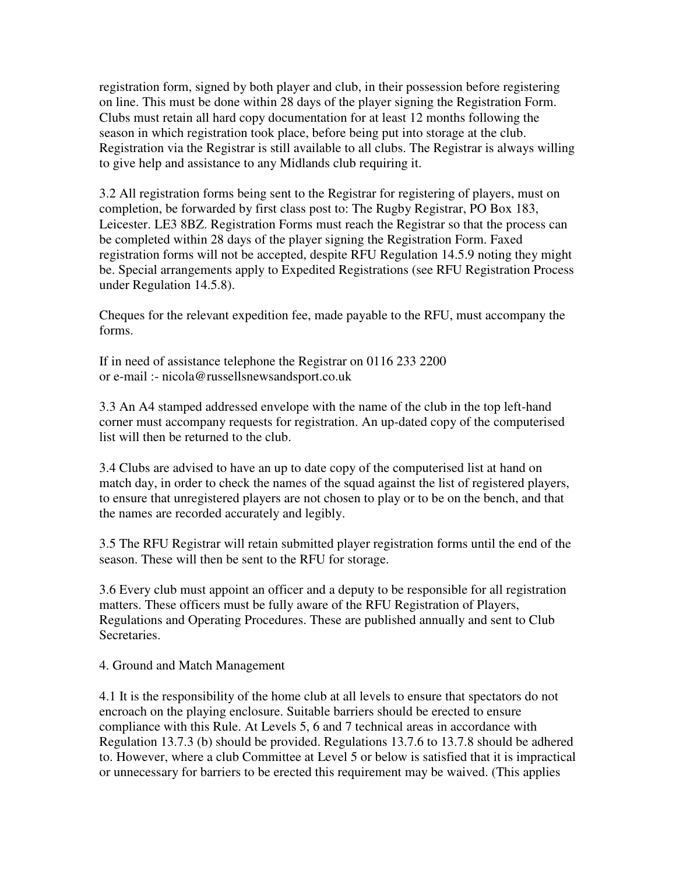registration form, signed by both player and club, in their possession before registering on line. This must be done within 28 days of the player signing the Registration Form. Clubs must retain all hard copy documentation for at least 12 months following the season in which registration took place, before being put into storage at the club. Registration via the Registrar is still available to all clubs. The Registrar is always willing to give help and assistance to any Midlands club requiring it.

3.2 All registration forms being sent to the Registrar for registering of players, must on completion, be forwarded by first class post to: The Rugby Registrar, PO Box 183, Leicester. LE3 8BZ. Registration Forms must reach the Registrar so that the process can be completed within 28 days of the player signing the Registration Form. Faxed registration forms will not be accepted, despite RFU Regulation 14.5.9 noting they might be. Special arrangements apply to Expedited Registrations (see RFU Registration Process under Regulation 14.5.8).

Cheques for the relevant expedition fee, made payable to the RFU, must accompany the forms.

If in need of assistance telephone the Registrar on 0116 233 2200 or e-mail :- nicola@russellsnewsandsport.co.uk

3.3 An A4 stamped addressed envelope with the name of the club in the top left-hand corner must accompany requests for registration. An up-dated copy of the computerised list will then be returned to the club.

3.4 Clubs are advised to have an up to date copy of the computerised list at hand on match day, in order to check the names of the squad against the list of registered players, to ensure that unregistered players are not chosen to play or to be on the bench, and that the names are recorded accurately and legibly.

3.5 The RFU Registrar will retain submitted player registration forms until the end of the season. These will then be sent to the RFU for storage.

3.6 Every club must appoint an officer and a deputy to be responsible for all registration matters. These officers must be fully aware of the RFU Registration of Players, Regulations and Operating Procedures. These are published annually and sent to Club Secretaries.

#### 4. Ground and Match Management

4.1 It is the responsibility of the home club at all levels to ensure that spectators do not encroach on the playing enclosure. Suitable barriers should be erected to ensure compliance with this Rule. At Levels 5, 6 and 7 technical areas in accordance with Regulation 13.7.3 (b) should be provided. Regulations 13.7.6 to 13.7.8 should be adhered to. However, where a club Committee at Level 5 or below is satisfied that it is impractical or unnecessary for barriers to be erected this requirement may be waived. (This applies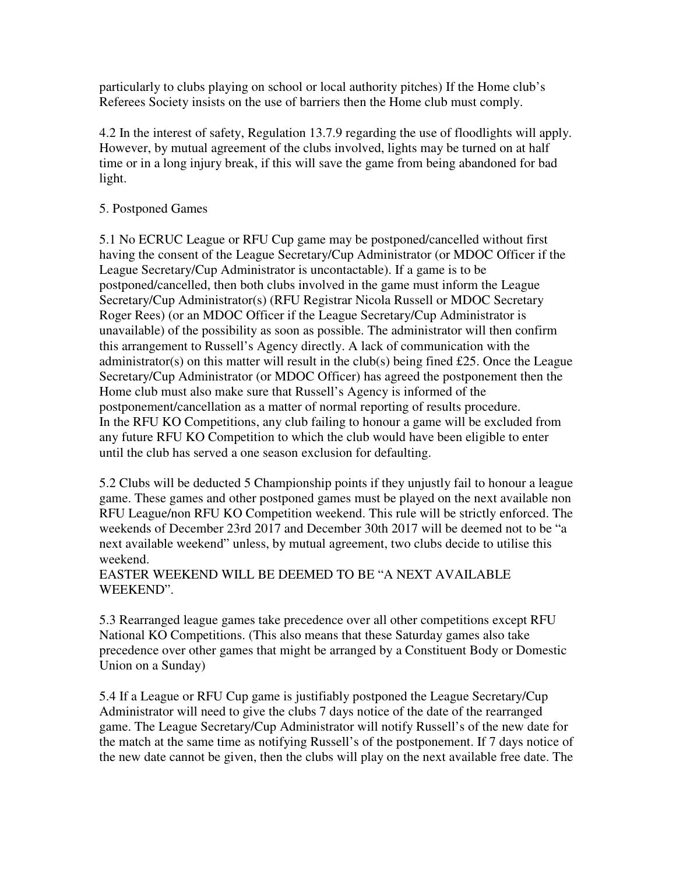particularly to clubs playing on school or local authority pitches) If the Home club's Referees Society insists on the use of barriers then the Home club must comply.

4.2 In the interest of safety, Regulation 13.7.9 regarding the use of floodlights will apply. However, by mutual agreement of the clubs involved, lights may be turned on at half time or in a long injury break, if this will save the game from being abandoned for bad light.

## 5. Postponed Games

5.1 No ECRUC League or RFU Cup game may be postponed/cancelled without first having the consent of the League Secretary/Cup Administrator (or MDOC Officer if the League Secretary/Cup Administrator is uncontactable). If a game is to be postponed/cancelled, then both clubs involved in the game must inform the League Secretary/Cup Administrator(s) (RFU Registrar Nicola Russell or MDOC Secretary Roger Rees) (or an MDOC Officer if the League Secretary/Cup Administrator is unavailable) of the possibility as soon as possible. The administrator will then confirm this arrangement to Russell's Agency directly. A lack of communication with the administrator(s) on this matter will result in the club(s) being fined £25. Once the League Secretary/Cup Administrator (or MDOC Officer) has agreed the postponement then the Home club must also make sure that Russell's Agency is informed of the postponement/cancellation as a matter of normal reporting of results procedure. In the RFU KO Competitions, any club failing to honour a game will be excluded from any future RFU KO Competition to which the club would have been eligible to enter until the club has served a one season exclusion for defaulting.

5.2 Clubs will be deducted 5 Championship points if they unjustly fail to honour a league game. These games and other postponed games must be played on the next available non RFU League/non RFU KO Competition weekend. This rule will be strictly enforced. The weekends of December 23rd 2017 and December 30th 2017 will be deemed not to be "a next available weekend" unless, by mutual agreement, two clubs decide to utilise this weekend.

## EASTER WEEKEND WILL BE DEEMED TO BE "A NEXT AVAILABLE WEEKEND".

5.3 Rearranged league games take precedence over all other competitions except RFU National KO Competitions. (This also means that these Saturday games also take precedence over other games that might be arranged by a Constituent Body or Domestic Union on a Sunday)

5.4 If a League or RFU Cup game is justifiably postponed the League Secretary/Cup Administrator will need to give the clubs 7 days notice of the date of the rearranged game. The League Secretary/Cup Administrator will notify Russell's of the new date for the match at the same time as notifying Russell's of the postponement. If 7 days notice of the new date cannot be given, then the clubs will play on the next available free date. The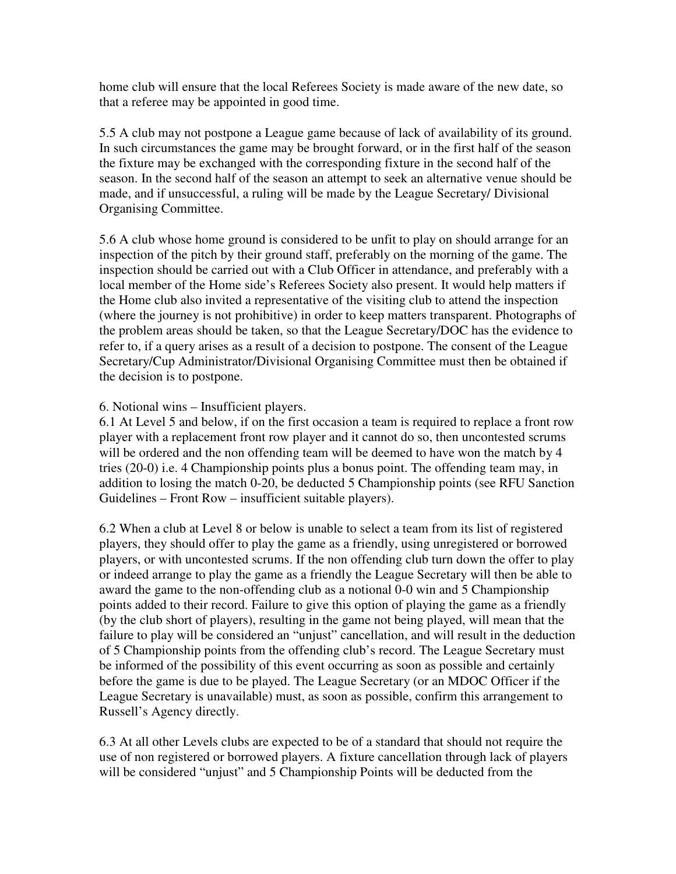home club will ensure that the local Referees Society is made aware of the new date, so that a referee may be appointed in good time.

5.5 A club may not postpone a League game because of lack of availability of its ground. In such circumstances the game may be brought forward, or in the first half of the season the fixture may be exchanged with the corresponding fixture in the second half of the season. In the second half of the season an attempt to seek an alternative venue should be made, and if unsuccessful, a ruling will be made by the League Secretary/ Divisional Organising Committee.

5.6 A club whose home ground is considered to be unfit to play on should arrange for an inspection of the pitch by their ground staff, preferably on the morning of the game. The inspection should be carried out with a Club Officer in attendance, and preferably with a local member of the Home side's Referees Society also present. It would help matters if the Home club also invited a representative of the visiting club to attend the inspection (where the journey is not prohibitive) in order to keep matters transparent. Photographs of the problem areas should be taken, so that the League Secretary/DOC has the evidence to refer to, if a query arises as a result of a decision to postpone. The consent of the League Secretary/Cup Administrator/Divisional Organising Committee must then be obtained if the decision is to postpone.

## 6. Notional wins – Insufficient players.

6.1 At Level 5 and below, if on the first occasion a team is required to replace a front row player with a replacement front row player and it cannot do so, then uncontested scrums will be ordered and the non offending team will be deemed to have won the match by 4 tries (20-0) i.e. 4 Championship points plus a bonus point. The offending team may, in addition to losing the match 0-20, be deducted 5 Championship points (see RFU Sanction Guidelines – Front Row – insufficient suitable players).

6.2 When a club at Level 8 or below is unable to select a team from its list of registered players, they should offer to play the game as a friendly, using unregistered or borrowed players, or with uncontested scrums. If the non offending club turn down the offer to play or indeed arrange to play the game as a friendly the League Secretary will then be able to award the game to the non-offending club as a notional 0-0 win and 5 Championship points added to their record. Failure to give this option of playing the game as a friendly (by the club short of players), resulting in the game not being played, will mean that the failure to play will be considered an "unjust" cancellation, and will result in the deduction of 5 Championship points from the offending club's record. The League Secretary must be informed of the possibility of this event occurring as soon as possible and certainly before the game is due to be played. The League Secretary (or an MDOC Officer if the League Secretary is unavailable) must, as soon as possible, confirm this arrangement to Russell's Agency directly.

6.3 At all other Levels clubs are expected to be of a standard that should not require the use of non registered or borrowed players. A fixture cancellation through lack of players will be considered "unjust" and 5 Championship Points will be deducted from the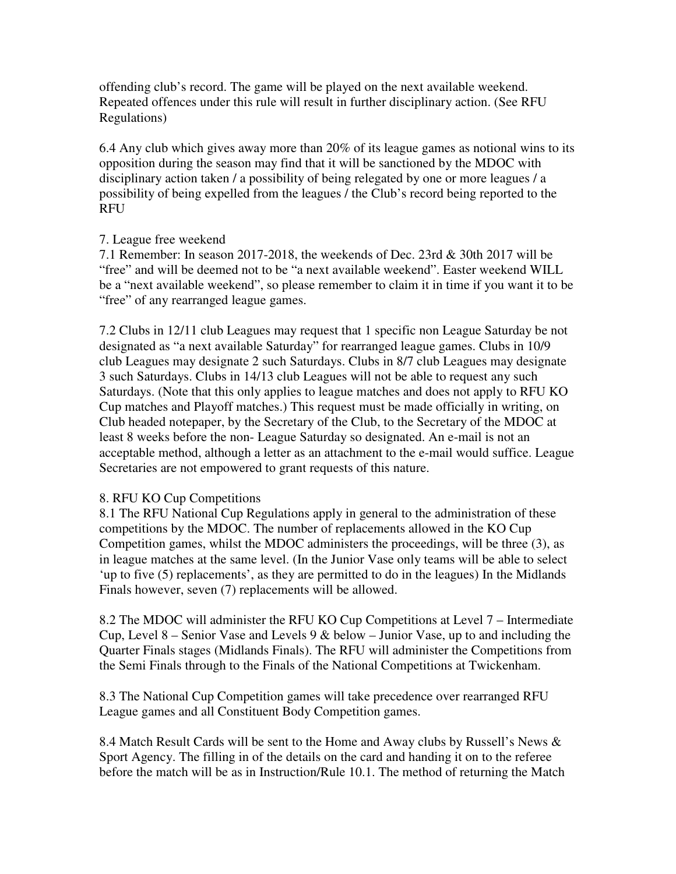offending club's record. The game will be played on the next available weekend. Repeated offences under this rule will result in further disciplinary action. (See RFU Regulations)

6.4 Any club which gives away more than 20% of its league games as notional wins to its opposition during the season may find that it will be sanctioned by the MDOC with disciplinary action taken / a possibility of being relegated by one or more leagues / a possibility of being expelled from the leagues / the Club's record being reported to the RFU

#### 7. League free weekend

7.1 Remember: In season 2017-2018, the weekends of Dec. 23rd & 30th 2017 will be "free" and will be deemed not to be "a next available weekend". Easter weekend WILL be a "next available weekend", so please remember to claim it in time if you want it to be "free" of any rearranged league games.

7.2 Clubs in 12/11 club Leagues may request that 1 specific non League Saturday be not designated as "a next available Saturday" for rearranged league games. Clubs in 10/9 club Leagues may designate 2 such Saturdays. Clubs in 8/7 club Leagues may designate 3 such Saturdays. Clubs in 14/13 club Leagues will not be able to request any such Saturdays. (Note that this only applies to league matches and does not apply to RFU KO Cup matches and Playoff matches.) This request must be made officially in writing, on Club headed notepaper, by the Secretary of the Club, to the Secretary of the MDOC at least 8 weeks before the non- League Saturday so designated. An e-mail is not an acceptable method, although a letter as an attachment to the e-mail would suffice. League Secretaries are not empowered to grant requests of this nature.

#### 8. RFU KO Cup Competitions

8.1 The RFU National Cup Regulations apply in general to the administration of these competitions by the MDOC. The number of replacements allowed in the KO Cup Competition games, whilst the MDOC administers the proceedings, will be three (3), as in league matches at the same level. (In the Junior Vase only teams will be able to select 'up to five (5) replacements', as they are permitted to do in the leagues) In the Midlands Finals however, seven (7) replacements will be allowed.

8.2 The MDOC will administer the RFU KO Cup Competitions at Level 7 – Intermediate Cup, Level 8 – Senior Vase and Levels 9  $&$  below – Junior Vase, up to and including the Quarter Finals stages (Midlands Finals). The RFU will administer the Competitions from the Semi Finals through to the Finals of the National Competitions at Twickenham.

8.3 The National Cup Competition games will take precedence over rearranged RFU League games and all Constituent Body Competition games.

8.4 Match Result Cards will be sent to the Home and Away clubs by Russell's News & Sport Agency. The filling in of the details on the card and handing it on to the referee before the match will be as in Instruction/Rule 10.1. The method of returning the Match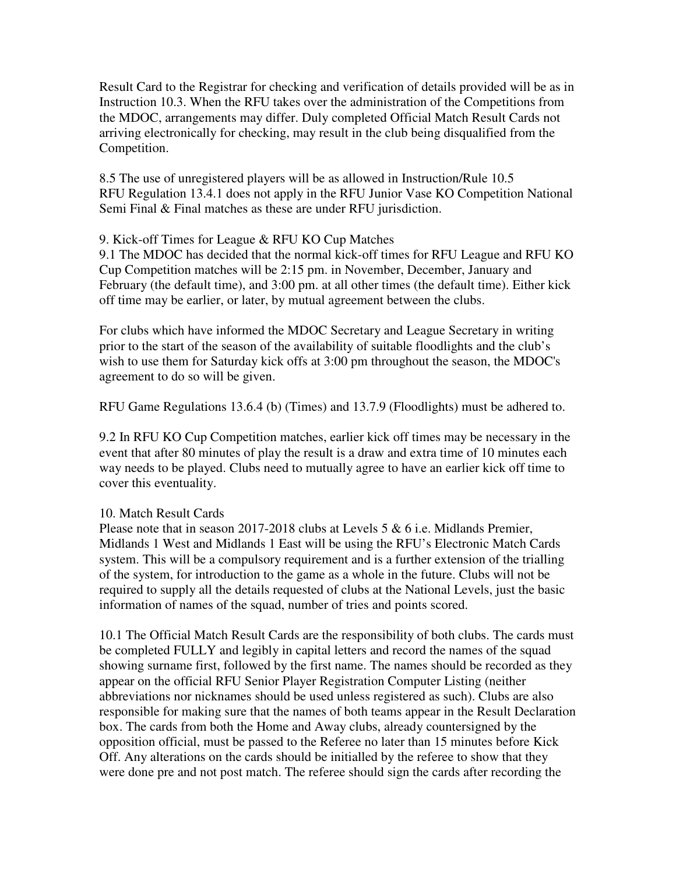Result Card to the Registrar for checking and verification of details provided will be as in Instruction 10.3. When the RFU takes over the administration of the Competitions from the MDOC, arrangements may differ. Duly completed Official Match Result Cards not arriving electronically for checking, may result in the club being disqualified from the Competition.

8.5 The use of unregistered players will be as allowed in Instruction/Rule 10.5 RFU Regulation 13.4.1 does not apply in the RFU Junior Vase KO Competition National Semi Final & Final matches as these are under RFU jurisdiction.

#### 9. Kick-off Times for League & RFU KO Cup Matches

9.1 The MDOC has decided that the normal kick-off times for RFU League and RFU KO Cup Competition matches will be 2:15 pm. in November, December, January and February (the default time), and 3:00 pm. at all other times (the default time). Either kick off time may be earlier, or later, by mutual agreement between the clubs.

For clubs which have informed the MDOC Secretary and League Secretary in writing prior to the start of the season of the availability of suitable floodlights and the club's wish to use them for Saturday kick offs at 3:00 pm throughout the season, the MDOC's agreement to do so will be given.

RFU Game Regulations 13.6.4 (b) (Times) and 13.7.9 (Floodlights) must be adhered to.

9.2 In RFU KO Cup Competition matches, earlier kick off times may be necessary in the event that after 80 minutes of play the result is a draw and extra time of 10 minutes each way needs to be played. Clubs need to mutually agree to have an earlier kick off time to cover this eventuality.

# 10. Match Result Cards

Please note that in season 2017-2018 clubs at Levels 5 & 6 i.e. Midlands Premier, Midlands 1 West and Midlands 1 East will be using the RFU's Electronic Match Cards system. This will be a compulsory requirement and is a further extension of the trialling of the system, for introduction to the game as a whole in the future. Clubs will not be required to supply all the details requested of clubs at the National Levels, just the basic information of names of the squad, number of tries and points scored.

10.1 The Official Match Result Cards are the responsibility of both clubs. The cards must be completed FULLY and legibly in capital letters and record the names of the squad showing surname first, followed by the first name. The names should be recorded as they appear on the official RFU Senior Player Registration Computer Listing (neither abbreviations nor nicknames should be used unless registered as such). Clubs are also responsible for making sure that the names of both teams appear in the Result Declaration box. The cards from both the Home and Away clubs, already countersigned by the opposition official, must be passed to the Referee no later than 15 minutes before Kick Off. Any alterations on the cards should be initialled by the referee to show that they were done pre and not post match. The referee should sign the cards after recording the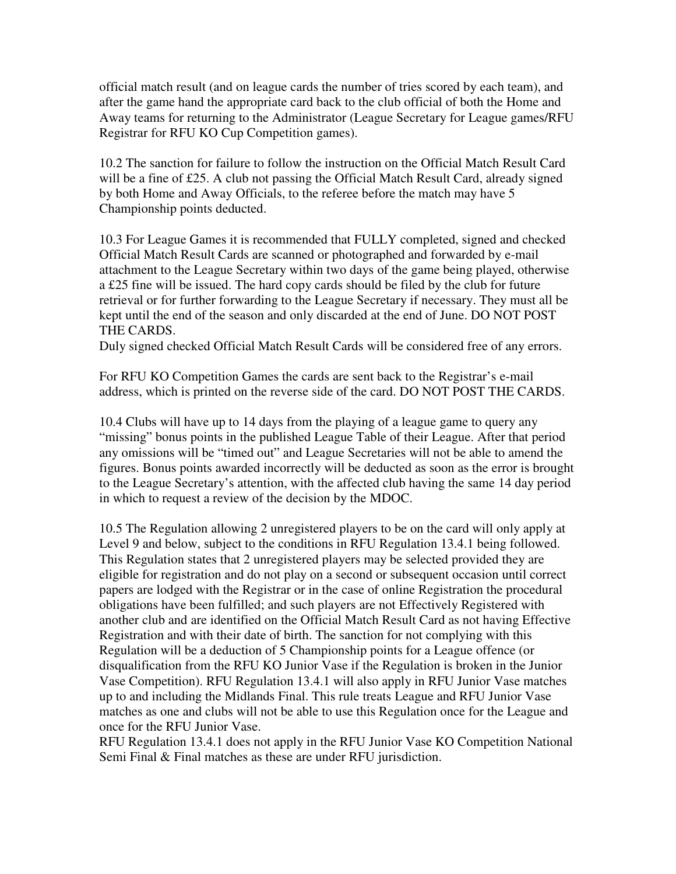official match result (and on league cards the number of tries scored by each team), and after the game hand the appropriate card back to the club official of both the Home and Away teams for returning to the Administrator (League Secretary for League games/RFU Registrar for RFU KO Cup Competition games).

10.2 The sanction for failure to follow the instruction on the Official Match Result Card will be a fine of £25. A club not passing the Official Match Result Card, already signed by both Home and Away Officials, to the referee before the match may have 5 Championship points deducted.

10.3 For League Games it is recommended that FULLY completed, signed and checked Official Match Result Cards are scanned or photographed and forwarded by e-mail attachment to the League Secretary within two days of the game being played, otherwise a £25 fine will be issued. The hard copy cards should be filed by the club for future retrieval or for further forwarding to the League Secretary if necessary. They must all be kept until the end of the season and only discarded at the end of June. DO NOT POST THE CARDS.

Duly signed checked Official Match Result Cards will be considered free of any errors.

For RFU KO Competition Games the cards are sent back to the Registrar's e-mail address, which is printed on the reverse side of the card. DO NOT POST THE CARDS.

10.4 Clubs will have up to 14 days from the playing of a league game to query any "missing" bonus points in the published League Table of their League. After that period any omissions will be "timed out" and League Secretaries will not be able to amend the figures. Bonus points awarded incorrectly will be deducted as soon as the error is brought to the League Secretary's attention, with the affected club having the same 14 day period in which to request a review of the decision by the MDOC.

10.5 The Regulation allowing 2 unregistered players to be on the card will only apply at Level 9 and below, subject to the conditions in RFU Regulation 13.4.1 being followed. This Regulation states that 2 unregistered players may be selected provided they are eligible for registration and do not play on a second or subsequent occasion until correct papers are lodged with the Registrar or in the case of online Registration the procedural obligations have been fulfilled; and such players are not Effectively Registered with another club and are identified on the Official Match Result Card as not having Effective Registration and with their date of birth. The sanction for not complying with this Regulation will be a deduction of 5 Championship points for a League offence (or disqualification from the RFU KO Junior Vase if the Regulation is broken in the Junior Vase Competition). RFU Regulation 13.4.1 will also apply in RFU Junior Vase matches up to and including the Midlands Final. This rule treats League and RFU Junior Vase matches as one and clubs will not be able to use this Regulation once for the League and once for the RFU Junior Vase.

RFU Regulation 13.4.1 does not apply in the RFU Junior Vase KO Competition National Semi Final & Final matches as these are under RFU jurisdiction.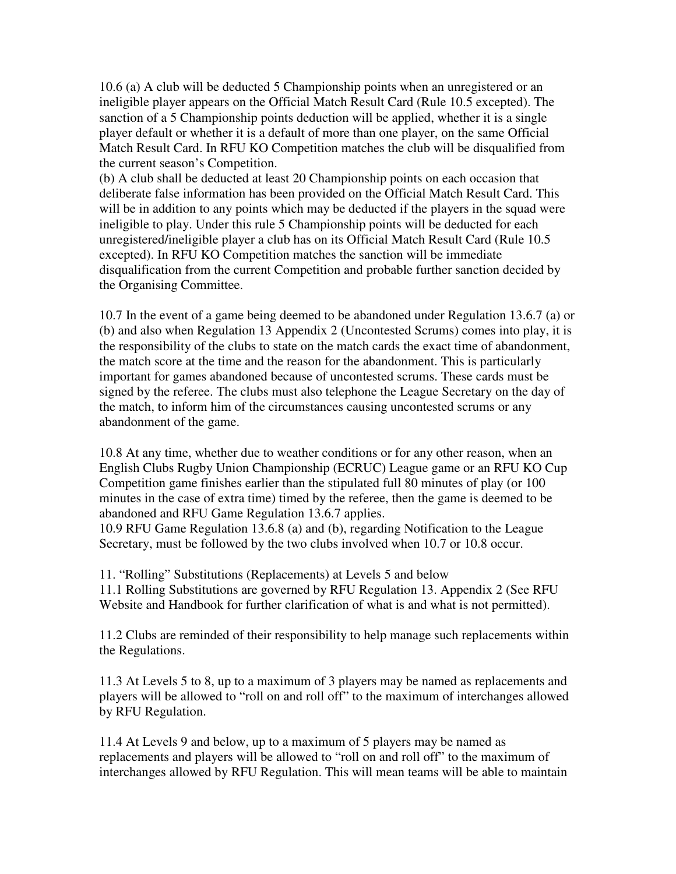10.6 (a) A club will be deducted 5 Championship points when an unregistered or an ineligible player appears on the Official Match Result Card (Rule 10.5 excepted). The sanction of a 5 Championship points deduction will be applied, whether it is a single player default or whether it is a default of more than one player, on the same Official Match Result Card. In RFU KO Competition matches the club will be disqualified from the current season's Competition.

(b) A club shall be deducted at least 20 Championship points on each occasion that deliberate false information has been provided on the Official Match Result Card. This will be in addition to any points which may be deducted if the players in the squad were ineligible to play. Under this rule 5 Championship points will be deducted for each unregistered/ineligible player a club has on its Official Match Result Card (Rule 10.5 excepted). In RFU KO Competition matches the sanction will be immediate disqualification from the current Competition and probable further sanction decided by the Organising Committee.

10.7 In the event of a game being deemed to be abandoned under Regulation 13.6.7 (a) or (b) and also when Regulation 13 Appendix 2 (Uncontested Scrums) comes into play, it is the responsibility of the clubs to state on the match cards the exact time of abandonment, the match score at the time and the reason for the abandonment. This is particularly important for games abandoned because of uncontested scrums. These cards must be signed by the referee. The clubs must also telephone the League Secretary on the day of the match, to inform him of the circumstances causing uncontested scrums or any abandonment of the game.

10.8 At any time, whether due to weather conditions or for any other reason, when an English Clubs Rugby Union Championship (ECRUC) League game or an RFU KO Cup Competition game finishes earlier than the stipulated full 80 minutes of play (or 100 minutes in the case of extra time) timed by the referee, then the game is deemed to be abandoned and RFU Game Regulation 13.6.7 applies.

10.9 RFU Game Regulation 13.6.8 (a) and (b), regarding Notification to the League Secretary, must be followed by the two clubs involved when 10.7 or 10.8 occur.

11. "Rolling" Substitutions (Replacements) at Levels 5 and below 11.1 Rolling Substitutions are governed by RFU Regulation 13. Appendix 2 (See RFU Website and Handbook for further clarification of what is and what is not permitted).

11.2 Clubs are reminded of their responsibility to help manage such replacements within the Regulations.

11.3 At Levels 5 to 8, up to a maximum of 3 players may be named as replacements and players will be allowed to "roll on and roll off" to the maximum of interchanges allowed by RFU Regulation.

11.4 At Levels 9 and below, up to a maximum of 5 players may be named as replacements and players will be allowed to "roll on and roll off" to the maximum of interchanges allowed by RFU Regulation. This will mean teams will be able to maintain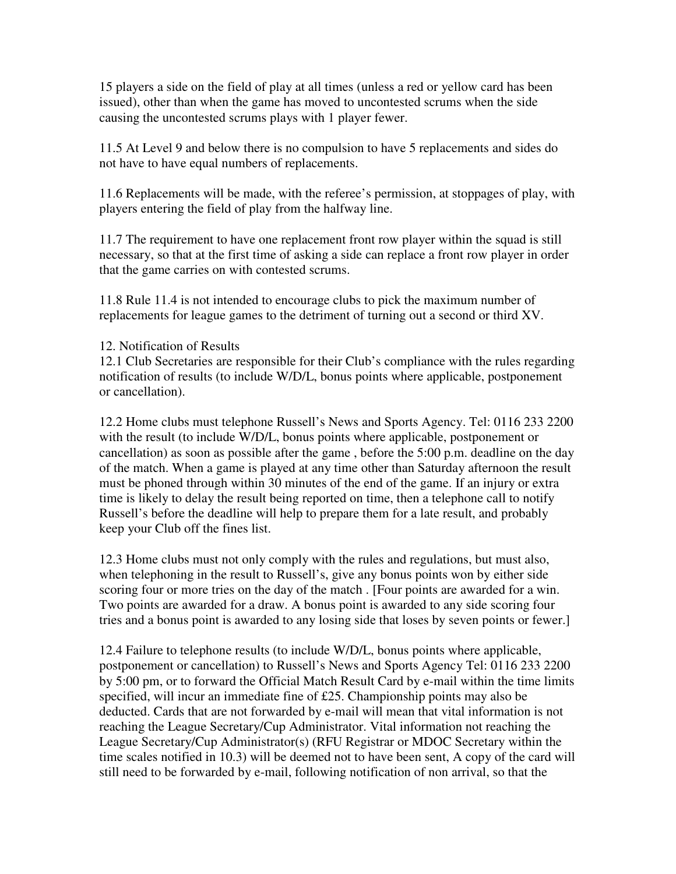15 players a side on the field of play at all times (unless a red or yellow card has been issued), other than when the game has moved to uncontested scrums when the side causing the uncontested scrums plays with 1 player fewer.

11.5 At Level 9 and below there is no compulsion to have 5 replacements and sides do not have to have equal numbers of replacements.

11.6 Replacements will be made, with the referee's permission, at stoppages of play, with players entering the field of play from the halfway line.

11.7 The requirement to have one replacement front row player within the squad is still necessary, so that at the first time of asking a side can replace a front row player in order that the game carries on with contested scrums.

11.8 Rule 11.4 is not intended to encourage clubs to pick the maximum number of replacements for league games to the detriment of turning out a second or third XV.

## 12. Notification of Results

12.1 Club Secretaries are responsible for their Club's compliance with the rules regarding notification of results (to include W/D/L, bonus points where applicable, postponement or cancellation).

12.2 Home clubs must telephone Russell's News and Sports Agency. Tel: 0116 233 2200 with the result (to include W/D/L, bonus points where applicable, postponement or cancellation) as soon as possible after the game , before the 5:00 p.m. deadline on the day of the match. When a game is played at any time other than Saturday afternoon the result must be phoned through within 30 minutes of the end of the game. If an injury or extra time is likely to delay the result being reported on time, then a telephone call to notify Russell's before the deadline will help to prepare them for a late result, and probably keep your Club off the fines list.

12.3 Home clubs must not only comply with the rules and regulations, but must also, when telephoning in the result to Russell's, give any bonus points won by either side scoring four or more tries on the day of the match . [Four points are awarded for a win. Two points are awarded for a draw. A bonus point is awarded to any side scoring four tries and a bonus point is awarded to any losing side that loses by seven points or fewer.]

12.4 Failure to telephone results (to include W/D/L, bonus points where applicable, postponement or cancellation) to Russell's News and Sports Agency Tel: 0116 233 2200 by 5:00 pm, or to forward the Official Match Result Card by e-mail within the time limits specified, will incur an immediate fine of £25. Championship points may also be deducted. Cards that are not forwarded by e-mail will mean that vital information is not reaching the League Secretary/Cup Administrator. Vital information not reaching the League Secretary/Cup Administrator(s) (RFU Registrar or MDOC Secretary within the time scales notified in 10.3) will be deemed not to have been sent, A copy of the card will still need to be forwarded by e-mail, following notification of non arrival, so that the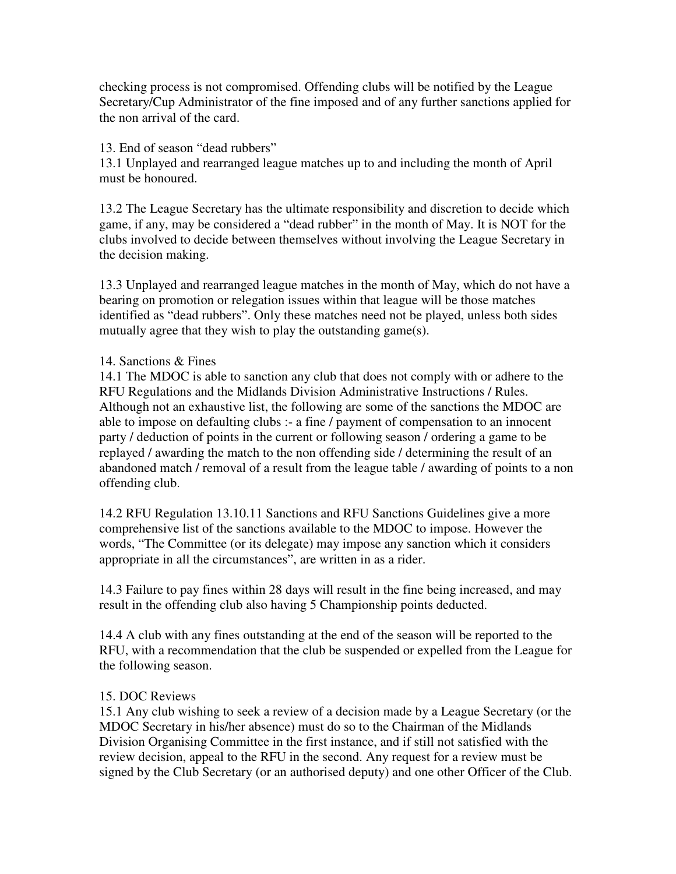checking process is not compromised. Offending clubs will be notified by the League Secretary/Cup Administrator of the fine imposed and of any further sanctions applied for the non arrival of the card.

### 13. End of season "dead rubbers"

13.1 Unplayed and rearranged league matches up to and including the month of April must be honoured.

13.2 The League Secretary has the ultimate responsibility and discretion to decide which game, if any, may be considered a "dead rubber" in the month of May. It is NOT for the clubs involved to decide between themselves without involving the League Secretary in the decision making.

13.3 Unplayed and rearranged league matches in the month of May, which do not have a bearing on promotion or relegation issues within that league will be those matches identified as "dead rubbers". Only these matches need not be played, unless both sides mutually agree that they wish to play the outstanding game(s).

# 14. Sanctions & Fines

14.1 The MDOC is able to sanction any club that does not comply with or adhere to the RFU Regulations and the Midlands Division Administrative Instructions / Rules. Although not an exhaustive list, the following are some of the sanctions the MDOC are able to impose on defaulting clubs :- a fine / payment of compensation to an innocent party / deduction of points in the current or following season / ordering a game to be replayed / awarding the match to the non offending side / determining the result of an abandoned match / removal of a result from the league table / awarding of points to a non offending club.

14.2 RFU Regulation 13.10.11 Sanctions and RFU Sanctions Guidelines give a more comprehensive list of the sanctions available to the MDOC to impose. However the words, "The Committee (or its delegate) may impose any sanction which it considers appropriate in all the circumstances", are written in as a rider.

14.3 Failure to pay fines within 28 days will result in the fine being increased, and may result in the offending club also having 5 Championship points deducted.

14.4 A club with any fines outstanding at the end of the season will be reported to the RFU, with a recommendation that the club be suspended or expelled from the League for the following season.

# 15. DOC Reviews

15.1 Any club wishing to seek a review of a decision made by a League Secretary (or the MDOC Secretary in his/her absence) must do so to the Chairman of the Midlands Division Organising Committee in the first instance, and if still not satisfied with the review decision, appeal to the RFU in the second. Any request for a review must be signed by the Club Secretary (or an authorised deputy) and one other Officer of the Club.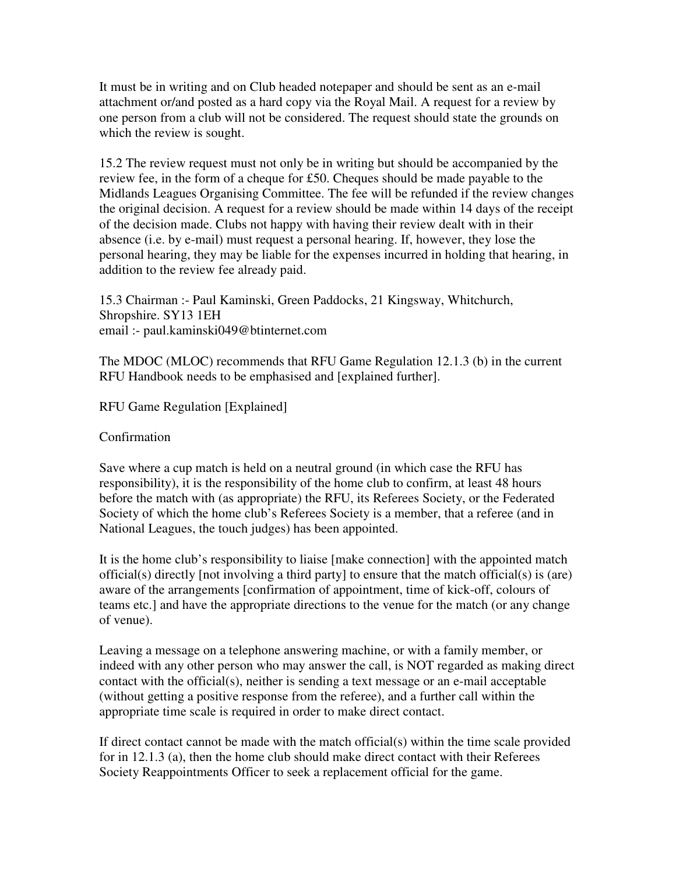It must be in writing and on Club headed notepaper and should be sent as an e-mail attachment or/and posted as a hard copy via the Royal Mail. A request for a review by one person from a club will not be considered. The request should state the grounds on which the review is sought.

15.2 The review request must not only be in writing but should be accompanied by the review fee, in the form of a cheque for £50. Cheques should be made payable to the Midlands Leagues Organising Committee. The fee will be refunded if the review changes the original decision. A request for a review should be made within 14 days of the receipt of the decision made. Clubs not happy with having their review dealt with in their absence (i.e. by e-mail) must request a personal hearing. If, however, they lose the personal hearing, they may be liable for the expenses incurred in holding that hearing, in addition to the review fee already paid.

15.3 Chairman :- Paul Kaminski, Green Paddocks, 21 Kingsway, Whitchurch, Shropshire. SY13 1EH email :- paul.kaminski049@btinternet.com

The MDOC (MLOC) recommends that RFU Game Regulation 12.1.3 (b) in the current RFU Handbook needs to be emphasised and [explained further].

RFU Game Regulation [Explained]

Confirmation

Save where a cup match is held on a neutral ground (in which case the RFU has responsibility), it is the responsibility of the home club to confirm, at least 48 hours before the match with (as appropriate) the RFU, its Referees Society, or the Federated Society of which the home club's Referees Society is a member, that a referee (and in National Leagues, the touch judges) has been appointed.

It is the home club's responsibility to liaise [make connection] with the appointed match official(s) directly [not involving a third party] to ensure that the match official(s) is (are) aware of the arrangements [confirmation of appointment, time of kick-off, colours of teams etc.] and have the appropriate directions to the venue for the match (or any change of venue).

Leaving a message on a telephone answering machine, or with a family member, or indeed with any other person who may answer the call, is NOT regarded as making direct contact with the official(s), neither is sending a text message or an e-mail acceptable (without getting a positive response from the referee), and a further call within the appropriate time scale is required in order to make direct contact.

If direct contact cannot be made with the match official(s) within the time scale provided for in 12.1.3 (a), then the home club should make direct contact with their Referees Society Reappointments Officer to seek a replacement official for the game.